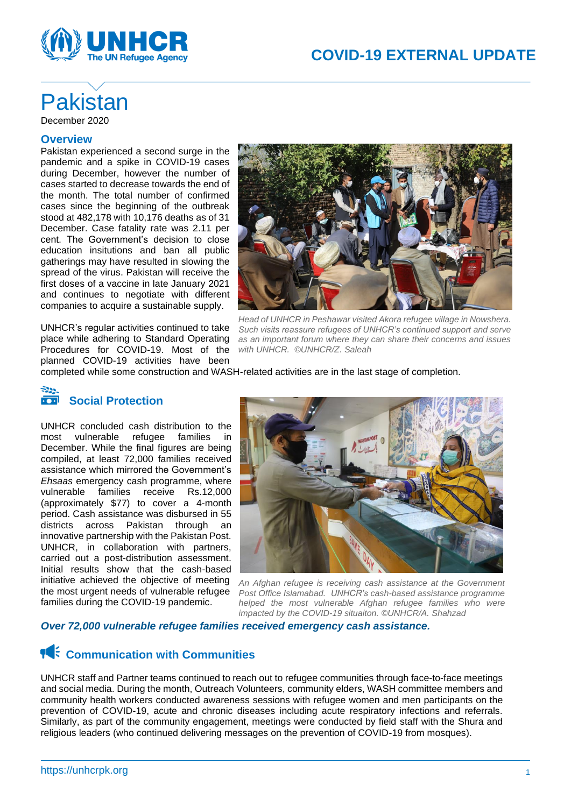

# Pakistan December 2020

### **Overview**

Pakistan experienced a second surge in the pandemic and a spike in COVID-19 cases during December, however the number of cases started to decrease towards the end of the month. The total number of confirmed cases since the beginning of the outbreak stood at 482,178 with 10,176 deaths as of 31 December. Case fatality rate was 2.11 per cent. The Government's decision to close education insitutions and ban all public gatherings may have resulted in slowing the spread of the virus. Pakistan will receive the first doses of a vaccine in late January 2021 and continues to negotiate with different companies to acquire a sustainable supply.

UNHCR's regular activities continued to take place while adhering to Standard Operating Procedures for COVID-19. Most of the planned COVID-19 activities have been



*Head of UNHCR in Peshawar visited Akora refugee village in Nowshera. Such visits reassure refugees of UNHCR's continued support and serve as an important forum where they can share their concerns and issues with UNHCR. ©UNHCR/Z. Saleah*

completed while some construction and WASH-related activities are in the last stage of completion.

#### $z_{22}$ **Social Protection**

UNHCR concluded cash distribution to the most vulnerable refugee families in December. While the final figures are being compiled, at least 72,000 families received assistance which mirrored the Government's *Ehsaas* emergency cash programme, where vulnerable families receive Rs.12,000 (approximately \$77) to cover a 4-month period. Cash assistance was disbursed in 55 districts across Pakistan through an innovative partnership with the Pakistan Post. UNHCR, in collaboration with partners, carried out a post-distribution assessment. Initial results show that the cash-based initiative achieved the objective of meeting the most urgent needs of vulnerable refugee families during the COVID-19 pandemic.



*An Afghan refugee is receiving cash assistance at the Government Post Office Islamabad. UNHCR's cash-based assistance programme helped the most vulnerable Afghan refugee families who were impacted by the COVID-19 situaiton. ©UNHCR/A. Shahzad*

## *Over 72,000 vulnerable refugee families received emergency cash assistance.*

## **14** Communication with Communities

UNHCR staff and Partner teams continued to reach out to refugee communities through face-to-face meetings and social media. During the month, Outreach Volunteers, community elders, WASH committee members and community health workers conducted awareness sessions with refugee women and men participants on the prevention of COVID-19, acute and chronic diseases including acute respiratory infections and referrals. Similarly, as part of the community engagement, meetings were conducted by field staff with the Shura and religious leaders (who continued delivering messages on the prevention of COVID-19 from mosques).